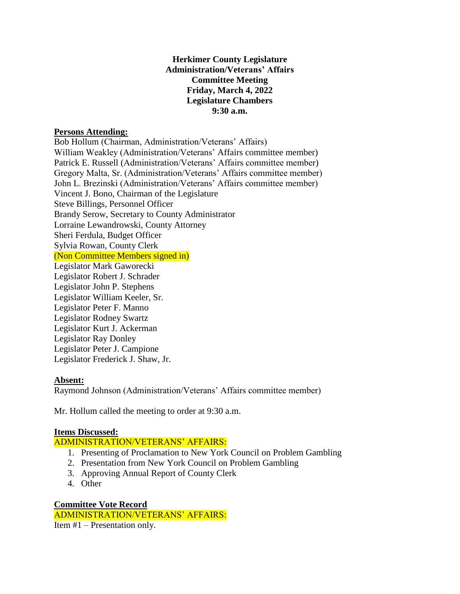## **Herkimer County Legislature Administration/Veterans' Affairs Committee Meeting Friday, March 4, 2022 Legislature Chambers 9:30 a.m.**

## **Persons Attending:**

Bob Hollum (Chairman, Administration/Veterans' Affairs) William Weakley (Administration/Veterans' Affairs committee member) Patrick E. Russell (Administration/Veterans' Affairs committee member) Gregory Malta, Sr. (Administration/Veterans' Affairs committee member) John L. Brezinski (Administration/Veterans' Affairs committee member) Vincent J. Bono, Chairman of the Legislature Steve Billings, Personnel Officer Brandy Serow, Secretary to County Administrator Lorraine Lewandrowski, County Attorney Sheri Ferdula, Budget Officer Sylvia Rowan, County Clerk (Non Committee Members signed in) Legislator Mark Gaworecki Legislator Robert J. Schrader Legislator John P. Stephens Legislator William Keeler, Sr. Legislator Peter F. Manno Legislator Rodney Swartz Legislator Kurt J. Ackerman Legislator Ray Donley Legislator Peter J. Campione Legislator Frederick J. Shaw, Jr.

## **Absent:**

Raymond Johnson (Administration/Veterans' Affairs committee member)

Mr. Hollum called the meeting to order at 9:30 a.m.

## **Items Discussed:**

ADMINISTRATION/VETERANS' AFFAIRS:

- 1. Presenting of Proclamation to New York Council on Problem Gambling
- 2. Presentation from New York Council on Problem Gambling
- 3. Approving Annual Report of County Clerk
- 4. Other

**Committee Vote Record** ADMINISTRATION/VETERANS' AFFAIRS: Item #1 – Presentation only.